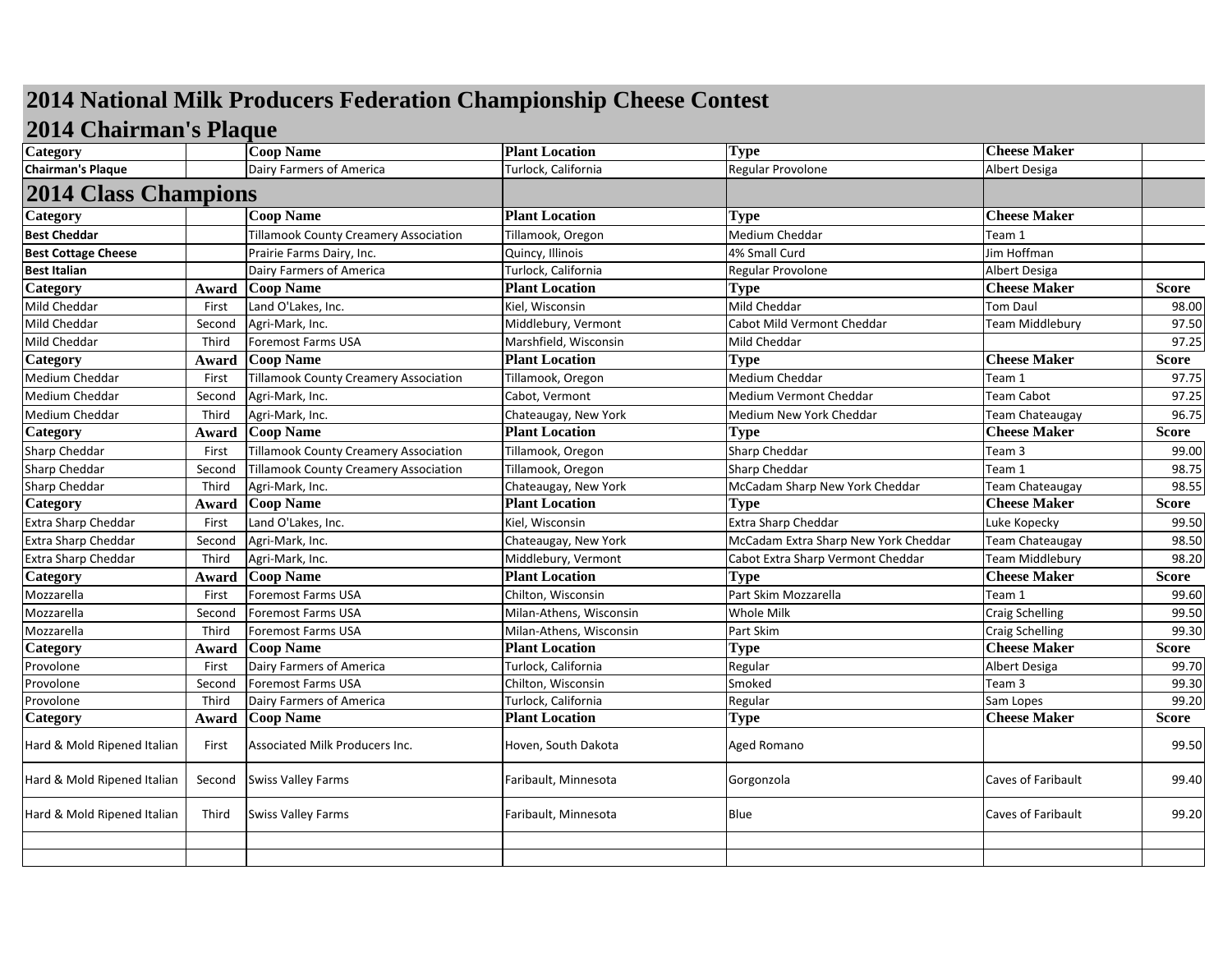## **2014 National Milk Producers Federation Championship Cheese Contest**

## **2014 Chairman's Plaque**

| Dairy Farmers of America<br>Turlock, California<br>Regular Provolone<br>Albert Desiga<br><b>2014 Class Champions</b><br><b>Coop Name</b><br><b>Cheese Maker</b><br>Category<br><b>Plant Location</b><br><b>Type</b><br>Medium Cheddar<br><b>Best Cheddar</b><br><b>Tillamook County Creamery Association</b><br>Tillamook, Oregon<br>Team 1<br>Jim Hoffman<br><b>Best Cottage Cheese</b><br>Prairie Farms Dairy, Inc.<br>4% Small Curd<br>Quincy, Illinois<br>Turlock, California<br><b>Best Italian</b><br>Dairy Farmers of America<br>Regular Provolone<br>Albert Desiga<br><b>Coop Name</b><br><b>Cheese Maker</b><br><b>Plant Location</b><br><b>Type</b><br><b>Score</b><br>Award<br>Mild Cheddar<br>Land O'Lakes, Inc.<br>Kiel, Wisconsin<br><b>Tom Daul</b><br>First<br>Mild Cheddar<br>Agri-Mark, Inc.<br>Middlebury, Vermont<br>Cabot Mild Vermont Cheddar<br>Team Middlebury<br>Second<br>Third<br>Foremost Farms USA<br>Marshfield, Wisconsin<br>Mild Cheddar<br><b>Cheese Maker</b><br><b>Coop Name</b><br><b>Plant Location</b><br><b>Type</b><br>Score<br>Award<br><b>Medium Cheddar</b><br><b>Tillamook County Creamery Association</b><br>First<br>Tillamook, Oregon<br>Team 1<br>Cabot, Vermont<br>Medium Vermont Cheddar<br>Team Cabot<br>Second<br>Agri-Mark, Inc.<br>Third<br>Agri-Mark, Inc.<br>Chateaugay, New York<br>Team Chateaugay<br>Medium New York Cheddar<br><b>Plant Location</b><br><b>Cheese Maker</b><br><b>Coop Name</b><br><b>Score</b><br><b>Type</b><br>Award<br><b>Tillamook County Creamery Association</b><br><b>Sharp Cheddar</b><br>Tillamook, Oregon<br>Team 3<br>First<br><b>Tillamook County Creamery Association</b><br>Tillamook, Oregon<br><b>Sharp Cheddar</b><br>Team 1<br>Second<br>Chateaugay, New York<br>McCadam Sharp New York Cheddar<br>Third<br>Agri-Mark, Inc.<br>Team Chateaugay<br><b>Coop Name</b><br><b>Plant Location</b><br><b>Cheese Maker</b><br><b>Type</b><br>Score<br>Award<br>Extra Sharp Cheddar<br>Land O'Lakes, Inc.<br>Kiel, Wisconsin<br>Luke Kopecky<br>First<br>McCadam Extra Sharp New York Cheddar<br>Agri-Mark, Inc.<br>Chateaugay, New York<br>Second<br><b>Team Chateaugay</b><br>Middlebury, Vermont<br><b>Team Middlebury</b><br>Third<br>Agri-Mark, Inc.<br>Cabot Extra Sharp Vermont Cheddar<br><b>Coop Name</b><br><b>Plant Location</b><br><b>Type</b><br><b>Cheese Maker</b><br><b>Score</b><br>Award<br>Part Skim Mozzarella<br>Mozzarella<br>Foremost Farms USA<br>Chilton, Wisconsin<br>Team 1<br>First<br><b>Foremost Farms USA</b><br>Milan-Athens, Wisconsin<br>Whole Milk<br>Mozzarella<br><b>Craig Schelling</b><br>Second<br><b>Foremost Farms USA</b><br>Milan-Athens, Wisconsin<br><b>Craig Schelling</b><br>Third<br>Part Skim<br><b>Plant Location</b><br><b>Cheese Maker</b><br><b>Coop Name</b><br><b>Type</b><br><b>Score</b><br>Award<br>Regular<br>Dairy Farmers of America<br>Turlock, California<br>First<br>Albert Desiga<br><b>Foremost Farms USA</b><br>Chilton, Wisconsin<br>Smoked<br>Team 3<br>Provolone<br>Second<br>Third<br>Dairy Farmers of America<br>Turlock, California<br>Regular<br>Sam Lopes<br><b>Plant Location</b><br><b>Cheese Maker</b><br><b>Score</b><br>Category<br><b>Coop Name</b><br><b>Type</b><br>Award<br>Hard & Mold Ripened Italian<br>Associated Milk Producers Inc.<br>Hoven, South Dakota<br>Aged Romano<br>First<br>Hard & Mold Ripened Italian<br><b>Swiss Valley Farms</b><br>Caves of Faribault<br>Faribault, Minnesota<br>Gorgonzola<br>Second<br>Hard & Mold Ripened Italian<br>Blue<br>Caves of Faribault<br>Third<br><b>Swiss Valley Farms</b><br>Faribault, Minnesota | Category                 | <b>Coop Name</b> | <b>Plant Location</b> | <b>Type</b> | <b>Cheese Maker</b> |       |
|----------------------------------------------------------------------------------------------------------------------------------------------------------------------------------------------------------------------------------------------------------------------------------------------------------------------------------------------------------------------------------------------------------------------------------------------------------------------------------------------------------------------------------------------------------------------------------------------------------------------------------------------------------------------------------------------------------------------------------------------------------------------------------------------------------------------------------------------------------------------------------------------------------------------------------------------------------------------------------------------------------------------------------------------------------------------------------------------------------------------------------------------------------------------------------------------------------------------------------------------------------------------------------------------------------------------------------------------------------------------------------------------------------------------------------------------------------------------------------------------------------------------------------------------------------------------------------------------------------------------------------------------------------------------------------------------------------------------------------------------------------------------------------------------------------------------------------------------------------------------------------------------------------------------------------------------------------------------------------------------------------------------------------------------------------------------------------------------------------------------------------------------------------------------------------------------------------------------------------------------------------------------------------------------------------------------------------------------------------------------------------------------------------------------------------------------------------------------------------------------------------------------------------------------------------------------------------------------------------------------------------------------------------------------------------------------------------------------------------------------------------------------------------------------------------------------------------------------------------------------------------------------------------------------------------------------------------------------------------------------------------------------------------------------------------------------------------------------------------------------------------------------------------------------------------------------------------------------------------------------------------------------------------------------------------------------------------------------------------------------------------------------------------------------------------------------------------------------------------------------------------------------------------------------------------------------------------------------------------------------------------|--------------------------|------------------|-----------------------|-------------|---------------------|-------|
| Category<br>Mild Cheddar<br>Mild Cheddar<br>Category<br>Medium Cheddar<br>Medium Cheddar<br>Medium Cheddar<br>Category<br>Sharp Cheddar<br><b>Sharp Cheddar</b><br>Sharp Cheddar<br>Category<br>Extra Sharp Cheddar<br>Extra Sharp Cheddar<br><b>Extra Sharp Cheddar</b><br>Category<br>Mozzarella<br>Category<br>Provolone<br>Provolone                                                                                                                                                                                                                                                                                                                                                                                                                                                                                                                                                                                                                                                                                                                                                                                                                                                                                                                                                                                                                                                                                                                                                                                                                                                                                                                                                                                                                                                                                                                                                                                                                                                                                                                                                                                                                                                                                                                                                                                                                                                                                                                                                                                                                                                                                                                                                                                                                                                                                                                                                                                                                                                                                                                                                                                                                                                                                                                                                                                                                                                                                                                                                                                                                                                                                         | <b>Chairman's Plaque</b> |                  |                       |             |                     |       |
|                                                                                                                                                                                                                                                                                                                                                                                                                                                                                                                                                                                                                                                                                                                                                                                                                                                                                                                                                                                                                                                                                                                                                                                                                                                                                                                                                                                                                                                                                                                                                                                                                                                                                                                                                                                                                                                                                                                                                                                                                                                                                                                                                                                                                                                                                                                                                                                                                                                                                                                                                                                                                                                                                                                                                                                                                                                                                                                                                                                                                                                                                                                                                                                                                                                                                                                                                                                                                                                                                                                                                                                                                                  |                          |                  |                       |             |                     |       |
|                                                                                                                                                                                                                                                                                                                                                                                                                                                                                                                                                                                                                                                                                                                                                                                                                                                                                                                                                                                                                                                                                                                                                                                                                                                                                                                                                                                                                                                                                                                                                                                                                                                                                                                                                                                                                                                                                                                                                                                                                                                                                                                                                                                                                                                                                                                                                                                                                                                                                                                                                                                                                                                                                                                                                                                                                                                                                                                                                                                                                                                                                                                                                                                                                                                                                                                                                                                                                                                                                                                                                                                                                                  |                          |                  |                       |             |                     |       |
|                                                                                                                                                                                                                                                                                                                                                                                                                                                                                                                                                                                                                                                                                                                                                                                                                                                                                                                                                                                                                                                                                                                                                                                                                                                                                                                                                                                                                                                                                                                                                                                                                                                                                                                                                                                                                                                                                                                                                                                                                                                                                                                                                                                                                                                                                                                                                                                                                                                                                                                                                                                                                                                                                                                                                                                                                                                                                                                                                                                                                                                                                                                                                                                                                                                                                                                                                                                                                                                                                                                                                                                                                                  |                          |                  |                       |             |                     |       |
|                                                                                                                                                                                                                                                                                                                                                                                                                                                                                                                                                                                                                                                                                                                                                                                                                                                                                                                                                                                                                                                                                                                                                                                                                                                                                                                                                                                                                                                                                                                                                                                                                                                                                                                                                                                                                                                                                                                                                                                                                                                                                                                                                                                                                                                                                                                                                                                                                                                                                                                                                                                                                                                                                                                                                                                                                                                                                                                                                                                                                                                                                                                                                                                                                                                                                                                                                                                                                                                                                                                                                                                                                                  |                          |                  |                       |             |                     |       |
|                                                                                                                                                                                                                                                                                                                                                                                                                                                                                                                                                                                                                                                                                                                                                                                                                                                                                                                                                                                                                                                                                                                                                                                                                                                                                                                                                                                                                                                                                                                                                                                                                                                                                                                                                                                                                                                                                                                                                                                                                                                                                                                                                                                                                                                                                                                                                                                                                                                                                                                                                                                                                                                                                                                                                                                                                                                                                                                                                                                                                                                                                                                                                                                                                                                                                                                                                                                                                                                                                                                                                                                                                                  |                          |                  |                       |             |                     |       |
|                                                                                                                                                                                                                                                                                                                                                                                                                                                                                                                                                                                                                                                                                                                                                                                                                                                                                                                                                                                                                                                                                                                                                                                                                                                                                                                                                                                                                                                                                                                                                                                                                                                                                                                                                                                                                                                                                                                                                                                                                                                                                                                                                                                                                                                                                                                                                                                                                                                                                                                                                                                                                                                                                                                                                                                                                                                                                                                                                                                                                                                                                                                                                                                                                                                                                                                                                                                                                                                                                                                                                                                                                                  |                          |                  |                       |             |                     |       |
|                                                                                                                                                                                                                                                                                                                                                                                                                                                                                                                                                                                                                                                                                                                                                                                                                                                                                                                                                                                                                                                                                                                                                                                                                                                                                                                                                                                                                                                                                                                                                                                                                                                                                                                                                                                                                                                                                                                                                                                                                                                                                                                                                                                                                                                                                                                                                                                                                                                                                                                                                                                                                                                                                                                                                                                                                                                                                                                                                                                                                                                                                                                                                                                                                                                                                                                                                                                                                                                                                                                                                                                                                                  |                          |                  |                       |             |                     | 98.00 |
|                                                                                                                                                                                                                                                                                                                                                                                                                                                                                                                                                                                                                                                                                                                                                                                                                                                                                                                                                                                                                                                                                                                                                                                                                                                                                                                                                                                                                                                                                                                                                                                                                                                                                                                                                                                                                                                                                                                                                                                                                                                                                                                                                                                                                                                                                                                                                                                                                                                                                                                                                                                                                                                                                                                                                                                                                                                                                                                                                                                                                                                                                                                                                                                                                                                                                                                                                                                                                                                                                                                                                                                                                                  |                          |                  |                       |             |                     | 97.50 |
|                                                                                                                                                                                                                                                                                                                                                                                                                                                                                                                                                                                                                                                                                                                                                                                                                                                                                                                                                                                                                                                                                                                                                                                                                                                                                                                                                                                                                                                                                                                                                                                                                                                                                                                                                                                                                                                                                                                                                                                                                                                                                                                                                                                                                                                                                                                                                                                                                                                                                                                                                                                                                                                                                                                                                                                                                                                                                                                                                                                                                                                                                                                                                                                                                                                                                                                                                                                                                                                                                                                                                                                                                                  |                          |                  |                       |             |                     | 97.25 |
|                                                                                                                                                                                                                                                                                                                                                                                                                                                                                                                                                                                                                                                                                                                                                                                                                                                                                                                                                                                                                                                                                                                                                                                                                                                                                                                                                                                                                                                                                                                                                                                                                                                                                                                                                                                                                                                                                                                                                                                                                                                                                                                                                                                                                                                                                                                                                                                                                                                                                                                                                                                                                                                                                                                                                                                                                                                                                                                                                                                                                                                                                                                                                                                                                                                                                                                                                                                                                                                                                                                                                                                                                                  |                          |                  |                       |             |                     |       |
|                                                                                                                                                                                                                                                                                                                                                                                                                                                                                                                                                                                                                                                                                                                                                                                                                                                                                                                                                                                                                                                                                                                                                                                                                                                                                                                                                                                                                                                                                                                                                                                                                                                                                                                                                                                                                                                                                                                                                                                                                                                                                                                                                                                                                                                                                                                                                                                                                                                                                                                                                                                                                                                                                                                                                                                                                                                                                                                                                                                                                                                                                                                                                                                                                                                                                                                                                                                                                                                                                                                                                                                                                                  |                          |                  |                       |             |                     | 97.75 |
|                                                                                                                                                                                                                                                                                                                                                                                                                                                                                                                                                                                                                                                                                                                                                                                                                                                                                                                                                                                                                                                                                                                                                                                                                                                                                                                                                                                                                                                                                                                                                                                                                                                                                                                                                                                                                                                                                                                                                                                                                                                                                                                                                                                                                                                                                                                                                                                                                                                                                                                                                                                                                                                                                                                                                                                                                                                                                                                                                                                                                                                                                                                                                                                                                                                                                                                                                                                                                                                                                                                                                                                                                                  |                          |                  |                       |             |                     | 97.25 |
|                                                                                                                                                                                                                                                                                                                                                                                                                                                                                                                                                                                                                                                                                                                                                                                                                                                                                                                                                                                                                                                                                                                                                                                                                                                                                                                                                                                                                                                                                                                                                                                                                                                                                                                                                                                                                                                                                                                                                                                                                                                                                                                                                                                                                                                                                                                                                                                                                                                                                                                                                                                                                                                                                                                                                                                                                                                                                                                                                                                                                                                                                                                                                                                                                                                                                                                                                                                                                                                                                                                                                                                                                                  |                          |                  |                       |             |                     | 96.75 |
|                                                                                                                                                                                                                                                                                                                                                                                                                                                                                                                                                                                                                                                                                                                                                                                                                                                                                                                                                                                                                                                                                                                                                                                                                                                                                                                                                                                                                                                                                                                                                                                                                                                                                                                                                                                                                                                                                                                                                                                                                                                                                                                                                                                                                                                                                                                                                                                                                                                                                                                                                                                                                                                                                                                                                                                                                                                                                                                                                                                                                                                                                                                                                                                                                                                                                                                                                                                                                                                                                                                                                                                                                                  |                          |                  |                       |             |                     |       |
|                                                                                                                                                                                                                                                                                                                                                                                                                                                                                                                                                                                                                                                                                                                                                                                                                                                                                                                                                                                                                                                                                                                                                                                                                                                                                                                                                                                                                                                                                                                                                                                                                                                                                                                                                                                                                                                                                                                                                                                                                                                                                                                                                                                                                                                                                                                                                                                                                                                                                                                                                                                                                                                                                                                                                                                                                                                                                                                                                                                                                                                                                                                                                                                                                                                                                                                                                                                                                                                                                                                                                                                                                                  |                          |                  |                       |             |                     | 99.00 |
|                                                                                                                                                                                                                                                                                                                                                                                                                                                                                                                                                                                                                                                                                                                                                                                                                                                                                                                                                                                                                                                                                                                                                                                                                                                                                                                                                                                                                                                                                                                                                                                                                                                                                                                                                                                                                                                                                                                                                                                                                                                                                                                                                                                                                                                                                                                                                                                                                                                                                                                                                                                                                                                                                                                                                                                                                                                                                                                                                                                                                                                                                                                                                                                                                                                                                                                                                                                                                                                                                                                                                                                                                                  |                          |                  |                       |             |                     | 98.75 |
|                                                                                                                                                                                                                                                                                                                                                                                                                                                                                                                                                                                                                                                                                                                                                                                                                                                                                                                                                                                                                                                                                                                                                                                                                                                                                                                                                                                                                                                                                                                                                                                                                                                                                                                                                                                                                                                                                                                                                                                                                                                                                                                                                                                                                                                                                                                                                                                                                                                                                                                                                                                                                                                                                                                                                                                                                                                                                                                                                                                                                                                                                                                                                                                                                                                                                                                                                                                                                                                                                                                                                                                                                                  |                          |                  |                       |             |                     | 98.55 |
|                                                                                                                                                                                                                                                                                                                                                                                                                                                                                                                                                                                                                                                                                                                                                                                                                                                                                                                                                                                                                                                                                                                                                                                                                                                                                                                                                                                                                                                                                                                                                                                                                                                                                                                                                                                                                                                                                                                                                                                                                                                                                                                                                                                                                                                                                                                                                                                                                                                                                                                                                                                                                                                                                                                                                                                                                                                                                                                                                                                                                                                                                                                                                                                                                                                                                                                                                                                                                                                                                                                                                                                                                                  |                          |                  |                       |             |                     |       |
|                                                                                                                                                                                                                                                                                                                                                                                                                                                                                                                                                                                                                                                                                                                                                                                                                                                                                                                                                                                                                                                                                                                                                                                                                                                                                                                                                                                                                                                                                                                                                                                                                                                                                                                                                                                                                                                                                                                                                                                                                                                                                                                                                                                                                                                                                                                                                                                                                                                                                                                                                                                                                                                                                                                                                                                                                                                                                                                                                                                                                                                                                                                                                                                                                                                                                                                                                                                                                                                                                                                                                                                                                                  |                          |                  |                       |             |                     | 99.50 |
|                                                                                                                                                                                                                                                                                                                                                                                                                                                                                                                                                                                                                                                                                                                                                                                                                                                                                                                                                                                                                                                                                                                                                                                                                                                                                                                                                                                                                                                                                                                                                                                                                                                                                                                                                                                                                                                                                                                                                                                                                                                                                                                                                                                                                                                                                                                                                                                                                                                                                                                                                                                                                                                                                                                                                                                                                                                                                                                                                                                                                                                                                                                                                                                                                                                                                                                                                                                                                                                                                                                                                                                                                                  |                          |                  |                       |             |                     | 98.50 |
|                                                                                                                                                                                                                                                                                                                                                                                                                                                                                                                                                                                                                                                                                                                                                                                                                                                                                                                                                                                                                                                                                                                                                                                                                                                                                                                                                                                                                                                                                                                                                                                                                                                                                                                                                                                                                                                                                                                                                                                                                                                                                                                                                                                                                                                                                                                                                                                                                                                                                                                                                                                                                                                                                                                                                                                                                                                                                                                                                                                                                                                                                                                                                                                                                                                                                                                                                                                                                                                                                                                                                                                                                                  |                          |                  |                       |             |                     | 98.20 |
|                                                                                                                                                                                                                                                                                                                                                                                                                                                                                                                                                                                                                                                                                                                                                                                                                                                                                                                                                                                                                                                                                                                                                                                                                                                                                                                                                                                                                                                                                                                                                                                                                                                                                                                                                                                                                                                                                                                                                                                                                                                                                                                                                                                                                                                                                                                                                                                                                                                                                                                                                                                                                                                                                                                                                                                                                                                                                                                                                                                                                                                                                                                                                                                                                                                                                                                                                                                                                                                                                                                                                                                                                                  |                          |                  |                       |             |                     |       |
|                                                                                                                                                                                                                                                                                                                                                                                                                                                                                                                                                                                                                                                                                                                                                                                                                                                                                                                                                                                                                                                                                                                                                                                                                                                                                                                                                                                                                                                                                                                                                                                                                                                                                                                                                                                                                                                                                                                                                                                                                                                                                                                                                                                                                                                                                                                                                                                                                                                                                                                                                                                                                                                                                                                                                                                                                                                                                                                                                                                                                                                                                                                                                                                                                                                                                                                                                                                                                                                                                                                                                                                                                                  |                          |                  |                       |             |                     | 99.60 |
|                                                                                                                                                                                                                                                                                                                                                                                                                                                                                                                                                                                                                                                                                                                                                                                                                                                                                                                                                                                                                                                                                                                                                                                                                                                                                                                                                                                                                                                                                                                                                                                                                                                                                                                                                                                                                                                                                                                                                                                                                                                                                                                                                                                                                                                                                                                                                                                                                                                                                                                                                                                                                                                                                                                                                                                                                                                                                                                                                                                                                                                                                                                                                                                                                                                                                                                                                                                                                                                                                                                                                                                                                                  |                          |                  |                       |             |                     | 99.50 |
|                                                                                                                                                                                                                                                                                                                                                                                                                                                                                                                                                                                                                                                                                                                                                                                                                                                                                                                                                                                                                                                                                                                                                                                                                                                                                                                                                                                                                                                                                                                                                                                                                                                                                                                                                                                                                                                                                                                                                                                                                                                                                                                                                                                                                                                                                                                                                                                                                                                                                                                                                                                                                                                                                                                                                                                                                                                                                                                                                                                                                                                                                                                                                                                                                                                                                                                                                                                                                                                                                                                                                                                                                                  |                          |                  |                       |             |                     | 99.30 |
|                                                                                                                                                                                                                                                                                                                                                                                                                                                                                                                                                                                                                                                                                                                                                                                                                                                                                                                                                                                                                                                                                                                                                                                                                                                                                                                                                                                                                                                                                                                                                                                                                                                                                                                                                                                                                                                                                                                                                                                                                                                                                                                                                                                                                                                                                                                                                                                                                                                                                                                                                                                                                                                                                                                                                                                                                                                                                                                                                                                                                                                                                                                                                                                                                                                                                                                                                                                                                                                                                                                                                                                                                                  |                          |                  |                       |             |                     |       |
|                                                                                                                                                                                                                                                                                                                                                                                                                                                                                                                                                                                                                                                                                                                                                                                                                                                                                                                                                                                                                                                                                                                                                                                                                                                                                                                                                                                                                                                                                                                                                                                                                                                                                                                                                                                                                                                                                                                                                                                                                                                                                                                                                                                                                                                                                                                                                                                                                                                                                                                                                                                                                                                                                                                                                                                                                                                                                                                                                                                                                                                                                                                                                                                                                                                                                                                                                                                                                                                                                                                                                                                                                                  |                          |                  |                       |             |                     | 99.70 |
|                                                                                                                                                                                                                                                                                                                                                                                                                                                                                                                                                                                                                                                                                                                                                                                                                                                                                                                                                                                                                                                                                                                                                                                                                                                                                                                                                                                                                                                                                                                                                                                                                                                                                                                                                                                                                                                                                                                                                                                                                                                                                                                                                                                                                                                                                                                                                                                                                                                                                                                                                                                                                                                                                                                                                                                                                                                                                                                                                                                                                                                                                                                                                                                                                                                                                                                                                                                                                                                                                                                                                                                                                                  |                          |                  |                       |             |                     | 99.30 |
|                                                                                                                                                                                                                                                                                                                                                                                                                                                                                                                                                                                                                                                                                                                                                                                                                                                                                                                                                                                                                                                                                                                                                                                                                                                                                                                                                                                                                                                                                                                                                                                                                                                                                                                                                                                                                                                                                                                                                                                                                                                                                                                                                                                                                                                                                                                                                                                                                                                                                                                                                                                                                                                                                                                                                                                                                                                                                                                                                                                                                                                                                                                                                                                                                                                                                                                                                                                                                                                                                                                                                                                                                                  |                          |                  |                       |             |                     | 99.20 |
|                                                                                                                                                                                                                                                                                                                                                                                                                                                                                                                                                                                                                                                                                                                                                                                                                                                                                                                                                                                                                                                                                                                                                                                                                                                                                                                                                                                                                                                                                                                                                                                                                                                                                                                                                                                                                                                                                                                                                                                                                                                                                                                                                                                                                                                                                                                                                                                                                                                                                                                                                                                                                                                                                                                                                                                                                                                                                                                                                                                                                                                                                                                                                                                                                                                                                                                                                                                                                                                                                                                                                                                                                                  |                          |                  |                       |             |                     |       |
|                                                                                                                                                                                                                                                                                                                                                                                                                                                                                                                                                                                                                                                                                                                                                                                                                                                                                                                                                                                                                                                                                                                                                                                                                                                                                                                                                                                                                                                                                                                                                                                                                                                                                                                                                                                                                                                                                                                                                                                                                                                                                                                                                                                                                                                                                                                                                                                                                                                                                                                                                                                                                                                                                                                                                                                                                                                                                                                                                                                                                                                                                                                                                                                                                                                                                                                                                                                                                                                                                                                                                                                                                                  |                          |                  |                       |             |                     | 99.50 |
|                                                                                                                                                                                                                                                                                                                                                                                                                                                                                                                                                                                                                                                                                                                                                                                                                                                                                                                                                                                                                                                                                                                                                                                                                                                                                                                                                                                                                                                                                                                                                                                                                                                                                                                                                                                                                                                                                                                                                                                                                                                                                                                                                                                                                                                                                                                                                                                                                                                                                                                                                                                                                                                                                                                                                                                                                                                                                                                                                                                                                                                                                                                                                                                                                                                                                                                                                                                                                                                                                                                                                                                                                                  |                          |                  |                       |             |                     | 99.40 |
|                                                                                                                                                                                                                                                                                                                                                                                                                                                                                                                                                                                                                                                                                                                                                                                                                                                                                                                                                                                                                                                                                                                                                                                                                                                                                                                                                                                                                                                                                                                                                                                                                                                                                                                                                                                                                                                                                                                                                                                                                                                                                                                                                                                                                                                                                                                                                                                                                                                                                                                                                                                                                                                                                                                                                                                                                                                                                                                                                                                                                                                                                                                                                                                                                                                                                                                                                                                                                                                                                                                                                                                                                                  |                          |                  |                       |             |                     | 99.20 |
|                                                                                                                                                                                                                                                                                                                                                                                                                                                                                                                                                                                                                                                                                                                                                                                                                                                                                                                                                                                                                                                                                                                                                                                                                                                                                                                                                                                                                                                                                                                                                                                                                                                                                                                                                                                                                                                                                                                                                                                                                                                                                                                                                                                                                                                                                                                                                                                                                                                                                                                                                                                                                                                                                                                                                                                                                                                                                                                                                                                                                                                                                                                                                                                                                                                                                                                                                                                                                                                                                                                                                                                                                                  |                          |                  |                       |             |                     |       |
|                                                                                                                                                                                                                                                                                                                                                                                                                                                                                                                                                                                                                                                                                                                                                                                                                                                                                                                                                                                                                                                                                                                                                                                                                                                                                                                                                                                                                                                                                                                                                                                                                                                                                                                                                                                                                                                                                                                                                                                                                                                                                                                                                                                                                                                                                                                                                                                                                                                                                                                                                                                                                                                                                                                                                                                                                                                                                                                                                                                                                                                                                                                                                                                                                                                                                                                                                                                                                                                                                                                                                                                                                                  |                          |                  |                       |             |                     |       |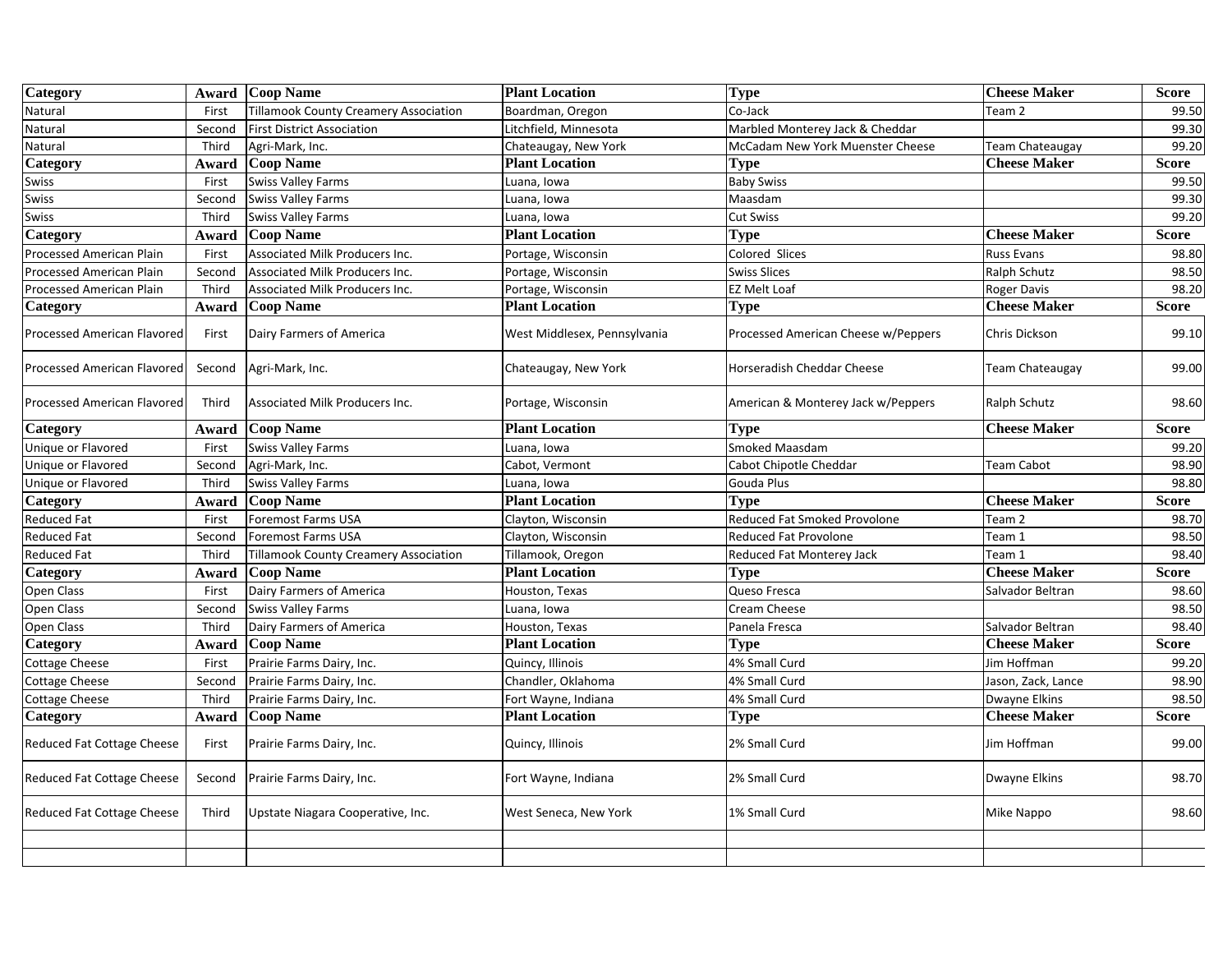| Category                          |        | <b>Award</b> Coop Name                | <b>Plant Location</b>        | <b>Type</b>                         | <b>Cheese Maker</b>    | <b>Score</b> |
|-----------------------------------|--------|---------------------------------------|------------------------------|-------------------------------------|------------------------|--------------|
| Natural                           | First  | Tillamook County Creamery Association | Boardman, Oregon             | Co-Jack                             | Team <sub>2</sub>      | 99.50        |
| Natural                           | Second | <b>First District Association</b>     | itchfield, Minnesota         | Marbled Monterey Jack & Cheddar     |                        | 99.30        |
| Natural                           | Third  | Agri-Mark, Inc.                       | Chateaugay, New York         | McCadam New York Muenster Cheese    | <b>Team Chateaugay</b> | 99.20        |
| Category                          | Award  | <b>Coop Name</b>                      | <b>Plant Location</b>        | Type                                | <b>Cheese Maker</b>    | <b>Score</b> |
| Swiss                             | First  | <b>Swiss Valley Farms</b>             | uana, Iowa                   | <b>Baby Swiss</b>                   |                        | 99.50        |
| Swiss                             | Second | <b>Swiss Valley Farms</b>             | uana, Iowa                   | Maasdam                             |                        | 99.30        |
| Swiss                             | Third  | <b>Swiss Valley Farms</b>             | uana, Iowa                   | <b>Cut Swiss</b>                    |                        | 99.20        |
| Category                          | Award  | <b>Coop Name</b>                      | <b>Plant Location</b>        | <b>Type</b>                         | <b>Cheese Maker</b>    | <b>Score</b> |
| <b>Processed American Plain</b>   | First  | Associated Milk Producers Inc.        | Portage, Wisconsin           | Colored Slices                      | Russ Evans             | 98.80        |
| <b>Processed American Plain</b>   | Second | Associated Milk Producers Inc.        | Portage, Wisconsin           | <b>Swiss Slices</b>                 | Ralph Schutz           | 98.50        |
| Processed American Plain          | Third  | Associated Milk Producers Inc.        | Portage, Wisconsin           | <b>EZ Melt Loaf</b>                 | Roger Davis            | 98.20        |
| Category                          | Award  | <b>Coop Name</b>                      | <b>Plant Location</b>        | Type                                | <b>Cheese Maker</b>    | Score        |
| Processed American Flavored       | First  | Dairy Farmers of America              | West Middlesex, Pennsylvania | Processed American Cheese w/Peppers | Chris Dickson          | 99.10        |
| Processed American Flavored       | Second | Agri-Mark, Inc.                       | Chateaugay, New York         | Horseradish Cheddar Cheese          | Team Chateaugay        | 99.00        |
| Processed American Flavored       | Third  | Associated Milk Producers Inc.        | Portage, Wisconsin           | American & Monterey Jack w/Peppers  | Ralph Schutz           | 98.60        |
| Category                          | Award  | <b>Coop Name</b>                      | <b>Plant Location</b>        | <b>Type</b>                         | <b>Cheese Maker</b>    | <b>Score</b> |
| Unique or Flavored                | First  | <b>Swiss Valley Farms</b>             | uana, Iowa                   | Smoked Maasdam                      |                        | 99.20        |
| Unique or Flavored                | Second | Agri-Mark, Inc.                       | Cabot, Vermont               | Cabot Chipotle Cheddar              | <b>Team Cabot</b>      | 98.90        |
| Unique or Flavored                | Third  | Swiss Valley Farms                    | Luana, Iowa                  | Gouda Plus                          |                        | 98.80        |
| Category                          | Award  | <b>Coop Name</b>                      | <b>Plant Location</b>        | <b>Type</b>                         | <b>Cheese Maker</b>    | <b>Score</b> |
| Reduced Fat                       | First  | <b>Foremost Farms USA</b>             | Clayton, Wisconsin           | Reduced Fat Smoked Provolone        | Team <sub>2</sub>      | 98.70        |
| <b>Reduced Fat</b>                | Second | <b>Foremost Farms USA</b>             | Clayton, Wisconsin           | <b>Reduced Fat Provolone</b>        | Team 1                 | 98.50        |
| Reduced Fat                       | Third  | Tillamook County Creamery Association | Tillamook, Oregon            | Reduced Fat Monterey Jack           | Team 1                 | 98.40        |
| Category                          | Award  | <b>Coop Name</b>                      | <b>Plant Location</b>        | Type                                | <b>Cheese Maker</b>    | <b>Score</b> |
| Open Class                        | First  | Dairy Farmers of America              | Houston, Texas               | Queso Fresca                        | Salvador Beltran       | 98.60        |
| Open Class                        | Second | <b>Swiss Valley Farms</b>             | uana, Iowa                   | Cream Cheese                        |                        | 98.50        |
| Open Class                        | Third  | Dairy Farmers of America              | Houston, Texas               | Panela Fresca                       | Salvador Beltran       | 98.40        |
| Category                          | Award  | <b>Coop Name</b>                      | <b>Plant Location</b>        | Type                                | <b>Cheese Maker</b>    | <b>Score</b> |
| Cottage Cheese                    | First  | Prairie Farms Dairy, Inc.             | Quincy, Illinois             | 4% Small Curd                       | Jim Hoffman            | 99.20        |
| Cottage Cheese                    | Second | Prairie Farms Dairy, Inc.             | Chandler, Oklahoma           | 4% Small Curd                       | Jason, Zack, Lance     | 98.90        |
| <b>Cottage Cheese</b>             | Third  | Prairie Farms Dairy, Inc.             | Fort Wayne, Indiana          | 4% Small Curd                       | <b>Dwayne Elkins</b>   | 98.50        |
| Category                          | Award  | <b>Coop Name</b>                      | <b>Plant Location</b>        | Type                                | <b>Cheese Maker</b>    | <b>Score</b> |
| Reduced Fat Cottage Cheese        | First  | Prairie Farms Dairy, Inc.             | Quincy, Illinois             | 2% Small Curd                       | Jim Hoffman            | 99.00        |
| Reduced Fat Cottage Cheese        | Second | Prairie Farms Dairy, Inc.             | Fort Wayne, Indiana          | 2% Small Curd                       | Dwayne Elkins          | 98.70        |
| <b>Reduced Fat Cottage Cheese</b> | Third  | Upstate Niagara Cooperative, Inc.     | West Seneca, New York        | 1% Small Curd                       | Mike Nappo             | 98.60        |
|                                   |        |                                       |                              |                                     |                        |              |